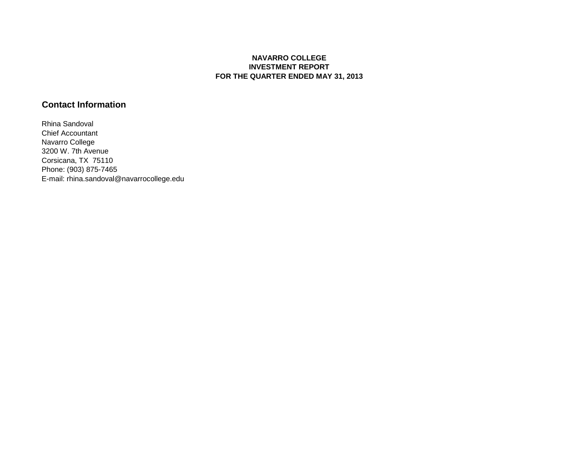## **NAVARRO COLLEGE INVESTMENT REPORT FOR THE QUARTER ENDED MAY 31, 2013**

## **Contact Information**

Rhina Sandoval Chief Accountant Navarro College 3200 W. 7th Avenue Corsicana, TX 75110 Phone: (903) 875-7465 E-mail: rhina.sandoval@navarrocollege.edu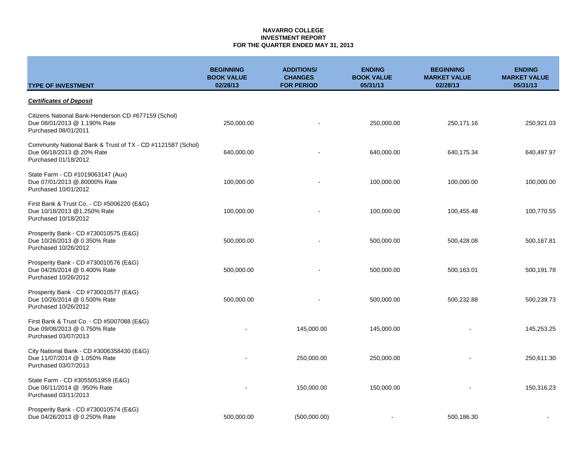#### **NAVARRO COLLEGE INVESTMENT REPORT FOR THE QUARTER ENDED MAY 31, 2013**

| <b>TYPE OF INVESTMENT</b>                                                                                        | <b>BEGINNING</b><br><b>BOOK VALUE</b><br>02/28/13 | <b>ADDITIONS/</b><br><b>CHANGES</b><br><b>FOR PERIOD</b> | <b>ENDING</b><br><b>BOOK VALUE</b><br>05/31/13 | <b>BEGINNING</b><br><b>MARKET VALUE</b><br>02/28/13 | <b>ENDING</b><br><b>MARKET VALUE</b><br>05/31/13 |
|------------------------------------------------------------------------------------------------------------------|---------------------------------------------------|----------------------------------------------------------|------------------------------------------------|-----------------------------------------------------|--------------------------------------------------|
| <b>Certificates of Deposit</b>                                                                                   |                                                   |                                                          |                                                |                                                     |                                                  |
| Citizens National Bank-Henderson CD #677159 (Schol)<br>Due 08/01/2013 @ 1.190% Rate<br>Purchased 08/01/2011      | 250,000.00                                        |                                                          | 250,000.00                                     | 250,171.16                                          | 250,921.03                                       |
| Community National Bank & Trust of TX - CD #1121587 (Schol)<br>Due 06/18/2013 @.20% Rate<br>Purchased 01/18/2012 | 640,000.00                                        |                                                          | 640,000.00                                     | 640,175.34                                          | 640,497.97                                       |
| State Farm - CD #1019063147 (Aux)<br>Due 07/01/2013 @.80000% Rate<br>Purchased 10/01/2012                        | 100,000.00                                        |                                                          | 100,000.00                                     | 100,000.00                                          | 100,000.00                                       |
| First Bank & Trust Co. - CD #5006220 (E&G)<br>Due 10/18/2013 @1.250% Rate<br>Purchased 10/18/2012                | 100,000.00                                        |                                                          | 100,000.00                                     | 100,455.48                                          | 100,770.55                                       |
| Prosperity Bank - CD #730010575 (E&G)<br>Due 10/26/2013 @ 0.350% Rate<br>Purchased 10/26/2012                    | 500,000.00                                        |                                                          | 500,000.00                                     | 500,428.08                                          | 500,167.81                                       |
| Prosperity Bank - CD #730010576 (E&G)<br>Due 04/26/2014 @ 0.400% Rate<br>Purchased 10/26/2012                    | 500,000.00                                        |                                                          | 500,000.00                                     | 500,163.01                                          | 500,191.78                                       |
| Prosperity Bank - CD #730010577 (E&G)<br>Due 10/26/2014 @ 0.500% Rate<br>Purchased 10/26/2012                    | 500,000.00                                        |                                                          | 500,000.00                                     | 500,232.88                                          | 500,239.73                                       |
| First Bank & Trust Co. - CD #5007088 (E&G)<br>Due 09/08/2013 @ 0.750% Rate<br>Purchased 03/07/2013               |                                                   | 145,000.00                                               | 145,000.00                                     |                                                     | 145,253.25                                       |
| City National Bank - CD #3006358430 (E&G)<br>Due 11/07/2014 @ 1.050% Rate<br>Purchased 03/07/2013                |                                                   | 250,000.00                                               | 250,000.00                                     |                                                     | 250,611.30                                       |
| State Farm - CD #3055051959 (E&G)<br>Due 06/11/2014 @ .950% Rate<br>Purchased 03/11/2013                         |                                                   | 150,000.00                                               | 150,000.00                                     |                                                     | 150,316.23                                       |
| Prosperity Bank - CD #730010574 (E&G)<br>Due 04/26/2013 @ 0.250% Rate                                            | 500,000.00                                        | (500,000.00)                                             |                                                | 500,186.30                                          |                                                  |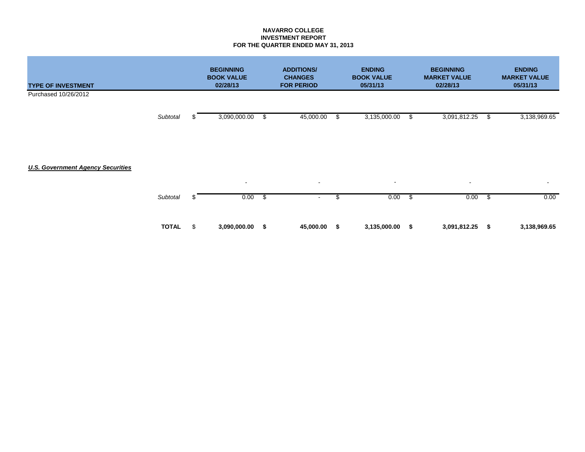### **NAVARRO COLLEGE INVESTMENT REPORT FOR THE QUARTER ENDED MAY 31, 2013**

| <b>TYPE OF INVESTMENT</b>                |              |    | <b>BEGINNING</b><br><b>BOOK VALUE</b><br>02/28/13 | <b>ADDITIONS/</b><br><b>CHANGES</b><br><b>FOR PERIOD</b> |    | <b>ENDING</b><br><b>BOOK VALUE</b><br>05/31/13 |      | <b>BEGINNING</b><br><b>MARKET VALUE</b><br>02/28/13 |      | <b>ENDING</b><br><b>MARKET VALUE</b><br>05/31/13 |
|------------------------------------------|--------------|----|---------------------------------------------------|----------------------------------------------------------|----|------------------------------------------------|------|-----------------------------------------------------|------|--------------------------------------------------|
| Purchased 10/26/2012                     |              |    |                                                   |                                                          |    |                                                |      |                                                     |      |                                                  |
|                                          | Subtotal     |    | 3,090,000.00                                      | \$<br>45,000.00                                          | \$ | 3,135,000.00                                   | \$   | 3,091,812.25                                        | \$   | 3,138,969.65                                     |
| <b>U.S. Government Agency Securities</b> |              |    |                                                   |                                                          |    | $\sim$                                         |      |                                                     |      |                                                  |
|                                          | Subtotal     | £. | $\sim$<br>0.00                                    | \$<br>$\sim$<br>$\sim$                                   | \$ | 0.00                                           | - \$ | $\sim$<br>0.00                                      | -\$  | $\blacksquare$<br>0.00                           |
|                                          | <b>TOTAL</b> | \$ | 3,090,000.00                                      | \$<br>45,000.00                                          | S  | 3,135,000.00                                   | - \$ | 3,091,812.25                                        | - \$ | 3,138,969.65                                     |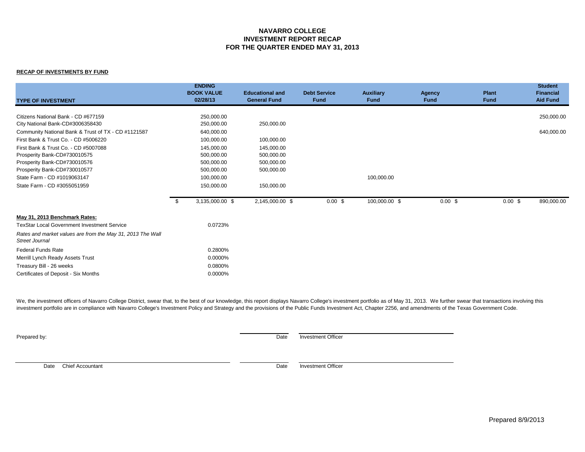### **NAVARRO COLLEGE INVESTMENT REPORT RECAP FOR THE QUARTER ENDED MAY 31, 2013**

#### **RECAP OF INVESTMENTS BY FUND**

|                                                                                     | <b>ENDING</b><br><b>BOOK VALUE</b> | <b>Educational and</b> | <b>Debt Service</b> | <b>Auxiliary</b> | Agency      | <b>Plant</b> | <b>Student</b><br><b>Financial</b> |
|-------------------------------------------------------------------------------------|------------------------------------|------------------------|---------------------|------------------|-------------|--------------|------------------------------------|
| <b>TYPE OF INVESTMENT</b>                                                           | 02/28/13                           | <b>General Fund</b>    | <b>Fund</b>         | <b>Fund</b>      | <b>Fund</b> | <b>Fund</b>  | <b>Aid Fund</b>                    |
|                                                                                     |                                    |                        |                     |                  |             |              |                                    |
| Citizens National Bank - CD #677159                                                 | 250,000.00                         |                        |                     |                  |             |              | 250,000.00                         |
| City National Bank-CD#3006358430                                                    | 250,000.00                         | 250,000.00             |                     |                  |             |              |                                    |
| Community National Bank & Trust of TX - CD #1121587                                 | 640,000.00                         |                        |                     |                  |             |              | 640,000.00                         |
| First Bank & Trust Co. - CD #5006220                                                | 100,000.00                         | 100,000.00             |                     |                  |             |              |                                    |
| First Bank & Trust Co. - CD #5007088                                                | 145,000.00                         | 145,000.00             |                     |                  |             |              |                                    |
| Prosperity Bank-CD#730010575                                                        | 500,000.00                         | 500,000.00             |                     |                  |             |              |                                    |
| Prosperity Bank-CD#730010576                                                        | 500,000.00                         | 500,000.00             |                     |                  |             |              |                                    |
| Prosperity Bank-CD#730010577                                                        | 500,000.00                         | 500,000.00             |                     |                  |             |              |                                    |
| State Farm - CD #1019063147                                                         | 100,000.00                         |                        |                     | 100,000.00       |             |              |                                    |
| State Farm - CD #3055051959                                                         | 150,000.00                         | 150,000.00             |                     |                  |             |              |                                    |
|                                                                                     | 3,135,000.00 \$<br>\$              | 2,145,000.00 \$        | $0.00$ \$           | 100,000.00 \$    | 0.00~\$     | 0.00~\$      | 890,000.00                         |
| May 31, 2013 Benchmark Rates:                                                       |                                    |                        |                     |                  |             |              |                                    |
| <b>TexStar Local Government Investment Service</b>                                  | 0.0723%                            |                        |                     |                  |             |              |                                    |
| Rates and market values are from the May 31, 2013 The Wall<br><b>Street Journal</b> |                                    |                        |                     |                  |             |              |                                    |
| <b>Federal Funds Rate</b>                                                           | 0.2800%                            |                        |                     |                  |             |              |                                    |
| Merrill Lynch Ready Assets Trust                                                    | 0.0000%                            |                        |                     |                  |             |              |                                    |
| Treasury Bill - 26 weeks                                                            | 0.0800%                            |                        |                     |                  |             |              |                                    |
| Certificates of Deposit - Six Months                                                | 0.0000%                            |                        |                     |                  |             |              |                                    |

We, the investment officers of Navarro College District, swear that, to the best of our knowledge, this report displays Navarro College's investment portfolio as of May 31, 2013. We further swear that transactions involvin investment portfolio are in compliance with Navarro College's Investment Policy and Strategy and the provisions of the Public Funds Investment Act, Chapter 2256, and amendments of the Texas Government Code.

**Prepared by:** Date Investment Officer

Date Chief Accountant Date investment Officer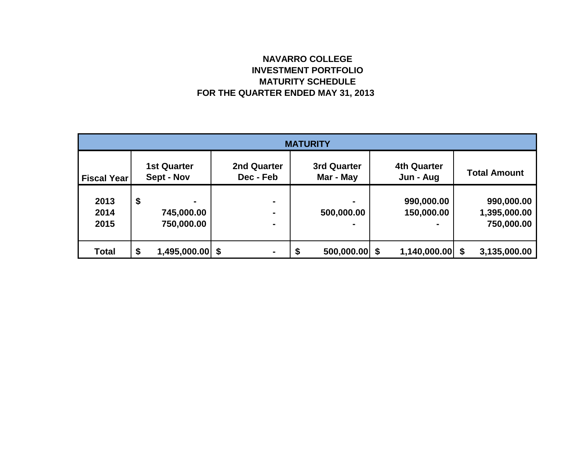# **NAVARRO COLLEGE INVESTMENT PORTFOLIO MATURITY SCHEDULE FOR THE QUARTER ENDED MAY 31, 2013**

| <b>MATURITY</b>      |    |                                  |                                 |                                 |  |                                 |  |                                          |  |  |
|----------------------|----|----------------------------------|---------------------------------|---------------------------------|--|---------------------------------|--|------------------------------------------|--|--|
| <b>Fiscal Year</b>   |    | <b>1st Quarter</b><br>Sept - Nov | <b>2nd Quarter</b><br>Dec - Feb | <b>3rd Quarter</b><br>Mar - May |  | <b>4th Quarter</b><br>Jun - Aug |  | <b>Total Amount</b>                      |  |  |
| 2013<br>2014<br>2015 | \$ | ۰<br>745,000.00<br>750,000.00    | ۰<br>۰<br>$\blacksquare$        | ۰<br>500,000.00                 |  | 990,000.00<br>150,000.00        |  | 990,000.00<br>1,395,000.00<br>750,000.00 |  |  |
| <b>Total</b>         | \$ | $1,495,000.00$ \$                | ۰                               | 500,000.00<br>\$                |  | $1,140,000.00$ \$               |  | 3,135,000.00                             |  |  |